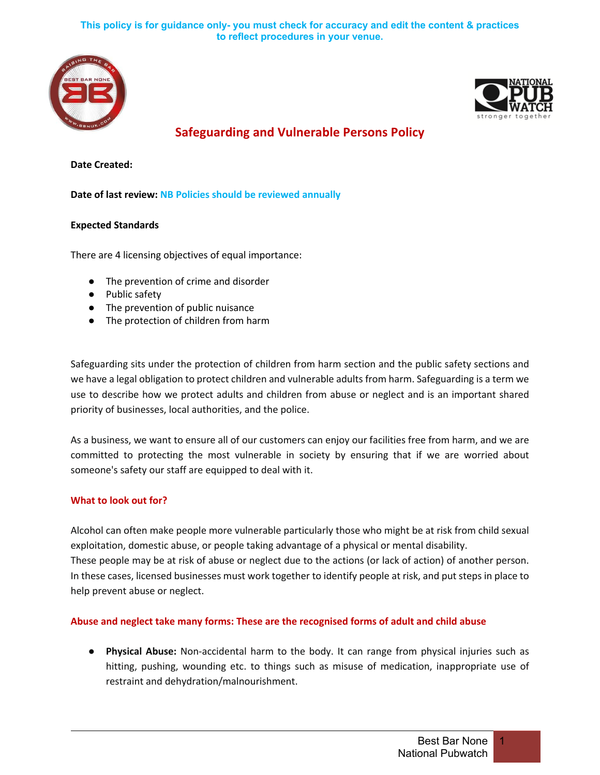



**Safeguarding and Vulnerable Persons Policy**

**Date Created:**

**Date of last review: NB Policies should be reviewed annually**

### **Expected Standards**

There are 4 licensing objectives of equal importance:

- The prevention of crime and disorder
- Public safety
- The prevention of public nuisance
- The protection of children from harm

Safeguarding sits under the protection of children from harm section and the public safety sections and we have a legal obligation to protect children and vulnerable adults from harm. Safeguarding is a term we use to describe how we protect adults and children from abuse or neglect and is an important shared priority of businesses, local authorities, and the police.

As a business, we want to ensure all of our customers can enjoy our facilities free from harm, and we are committed to protecting the most vulnerable in society by ensuring that if we are worried about someone's safety our staff are equipped to deal with it.

### **What to look out for?**

Alcohol can often make people more vulnerable particularly those who might be at risk from child sexual exploitation, domestic abuse, or people taking advantage of a physical or mental disability. These people may be at risk of abuse or neglect due to the actions (or lack of action) of another person. In these cases, licensed businesses must work together to identify people at risk, and put steps in place to help prevent abuse or neglect.

### **Abuse and neglect take many forms: These are the recognised forms of adult and child abuse**

● **Physical Abuse:** Non-accidental harm to the body. It can range from physical injuries such as hitting, pushing, wounding etc. to things such as misuse of medication, inappropriate use of restraint and dehydration/malnourishment.

1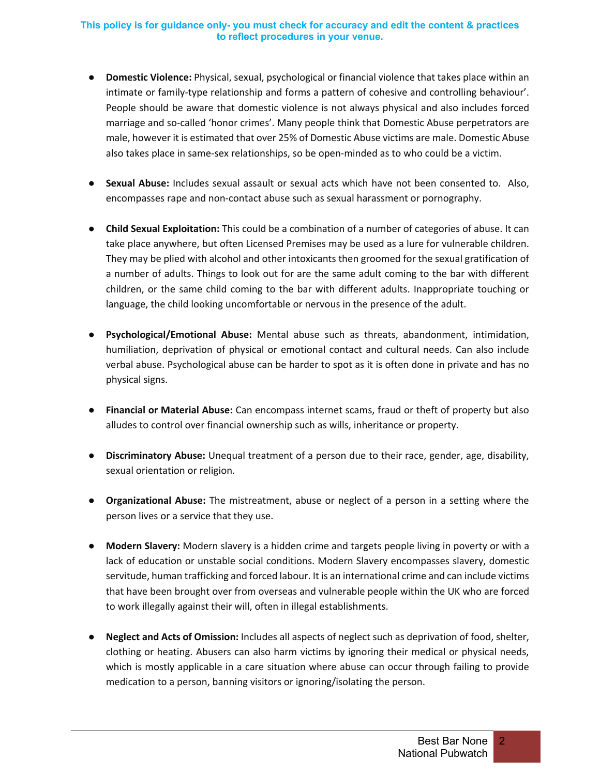- **Domestic Violence:** Physical, sexual, psychological or financial violence that takes place within an intimate or family-type relationship and forms a pattern of cohesive and controlling behaviour'. People should be aware that domestic violence is not always physical and also includes forced marriage and so-called 'honor crimes'. Many people think that Domestic Abuse perpetrators are male, however it is estimated that over 25% of Domestic Abuse victims are male. Domestic Abuse also takes place in same-sex relationships, so be open-minded as to who could be a victim.
- **Sexual Abuse:** Includes sexual assault or sexual acts which have not been consented to. Also, encompasses rape and non-contact abuse such as sexual harassment or pornography.
- **Child Sexual Exploitation:** This could be a combination of a number of categories of abuse. It can take place anywhere, but often Licensed Premises may be used as a lure for vulnerable children. They may be plied with alcohol and other intoxicants then groomed for the sexual gratification of a number of adults. Things to look out for are the same adult coming to the bar with different children, or the same child coming to the bar with different adults. Inappropriate touching or language, the child looking uncomfortable or nervous in the presence of the adult.
- **Psychological/Emotional Abuse:** Mental abuse such as threats, abandonment, intimidation, humiliation, deprivation of physical or emotional contact and cultural needs. Can also include verbal abuse. Psychological abuse can be harder to spot as it is often done in private and has no physical signs.
- **Financial or Material Abuse:** Can encompass internet scams, fraud or theft of property but also alludes to control over financial ownership such as wills, inheritance or property.
- **Discriminatory Abuse:** Unequal treatment of a person due to their race, gender, age, disability, sexual orientation or religion.
- **Organizational Abuse:** The mistreatment, abuse or neglect of a person in a setting where the person lives or a service that they use.
- **Modern Slavery:** Modern slavery is a hidden crime and targets people living in poverty or with a lack of education or unstable social conditions. Modern Slavery encompasses slavery, domestic servitude, human trafficking and forced labour. It is an international crime and can include victims that have been brought over from overseas and vulnerable people within the UK who are forced to work illegally against their will, often in illegal establishments.
- **Neglect and Acts of Omission:** Includes all aspects of neglect such as deprivation of food, shelter, clothing or heating. Abusers can also harm victims by ignoring their medical or physical needs, which is mostly applicable in a care situation where abuse can occur through failing to provide medication to a person, banning visitors or ignoring/isolating the person.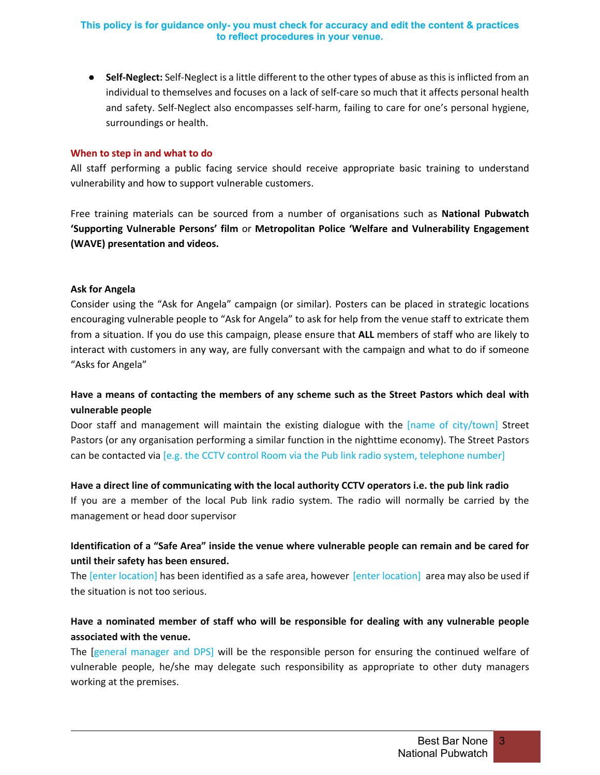● **Self-Neglect:** Self-Neglect is a little different to the other types of abuse as this is inflicted from an individual to themselves and focuses on a lack of self-care so much that it affects personal health and safety. Self-Neglect also encompasses self-harm, failing to care for one's personal hygiene, surroundings or health.

#### **When to step in and what to do**

All staff performing a public facing service should receive appropriate basic training to understand vulnerability and how to support vulnerable customers.

Free training materials can be sourced from a number of organisations such as **National Pubwatch 'Supporting Vulnerable Persons' film** or **Metropolitan Police 'Welfare and Vulnerability Engagement (WAVE) presentation and videos.**

#### **Ask for Angela**

Consider using the "Ask for Angela" campaign (or similar). Posters can be placed in strategic locations encouraging vulnerable people to "Ask for Angela" to ask for help from the venue staff to extricate them from a situation. If you do use this campaign, please ensure that **ALL** members of staff who are likely to interact with customers in any way, are fully conversant with the campaign and what to do if someone "Asks for Angela"

# **Have a means of contacting the members of any scheme such as the Street Pastors which deal with vulnerable people**

Door staff and management will maintain the existing dialogue with the [name of city/town] Street Pastors (or any organisation performing a similar function in the nighttime economy). The Street Pastors can be contacted via [e.g. the CCTV control Room via the Pub link radio system, telephone number]

#### **Have a direct line of communicating with the local authority CCTV operators i.e. the pub link radio**

If you are a member of the local Pub link radio system. The radio will normally be carried by the management or head door supervisor

# **Identification of a "Safe Area" inside the venue where vulnerable people can remain and be cared for until their safety has been ensured.**

The [enter location] has been identified as a safe area, however [enter location] area may also be used if the situation is not too serious.

# **Have a nominated member of staff who will be responsible for dealing with any vulnerable people associated with the venue.**

The [general manager and DPS] will be the responsible person for ensuring the continued welfare of vulnerable people, he/she may delegate such responsibility as appropriate to other duty managers working at the premises.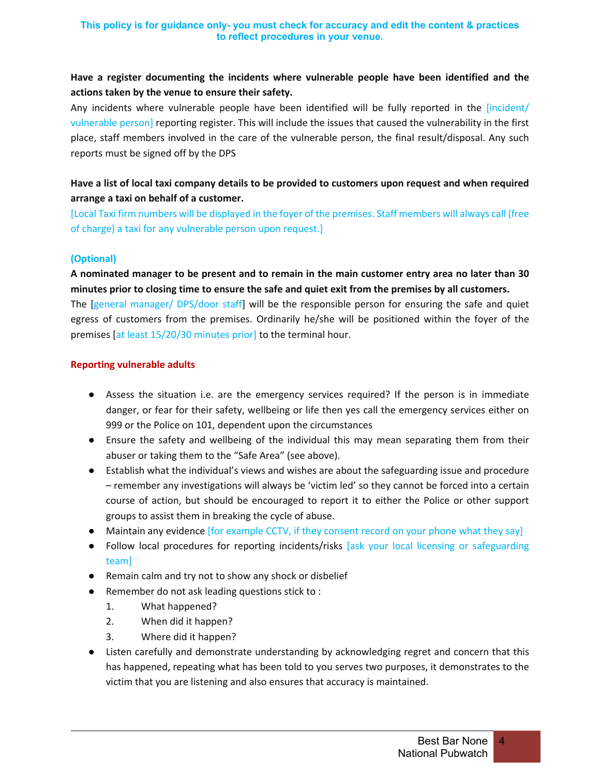# **Have a register documenting the incidents where vulnerable people have been identified and the actions taken by the venue to ensure their safety.**

Any incidents where vulnerable people have been identified will be fully reported in the [incident/ vulnerable person] reporting register. This will include the issues that caused the vulnerability in the first place, staff members involved in the care of the vulnerable person, the final result/disposal. Any such reports must be signed off by the DPS

# **Have a list of local taxi company details to be provided to customers upon request and when required arrange a taxi on behalf of a customer.**

[Local Taxi firm numbers will be displayed in the foyer of the premises. Staff members will always call (free of charge) a taxi for any vulnerable person upon request.]

## **(Optional)**

**A nominated manager to be present and to remain in the main customer entry area no later than 30 minutes prior to closing time to ensure the safe and quiet exit from the premises by all customers.** The [general manager/ DPS/door staff] will be the responsible person for ensuring the safe and quiet egress of customers from the premises. Ordinarily he/she will be positioned within the foyer of the premises [at least 15/20/30 minutes prior] to the terminal hour.

### **Reporting vulnerable adults**

- Assess the situation i.e. are the emergency services required? If the person is in immediate danger, or fear for their safety, wellbeing or life then yes call the emergency services either on 999 or the Police on 101, dependent upon the circumstances
- Ensure the safety and wellbeing of the individual this may mean separating them from their abuser or taking them to the "Safe Area" (see above).
- Establish what the individual's views and wishes are about the safeguarding issue and procedure – remember any investigations will always be 'victim led' so they cannot be forced into a certain course of action, but should be encouraged to report it to either the Police or other support groups to assist them in breaking the cycle of abuse.
- Maintain any evidence [for example CCTV, if they consent record on your phone what they say]
- Follow local procedures for reporting incidents/risks [ask your local licensing or safeguarding team]
- Remain calm and try not to show any shock or disbelief
- Remember do not ask leading questions stick to :
	- 1. What happened?
	- 2. When did it happen?
	- 3. Where did it happen?
- Listen carefully and demonstrate understanding by acknowledging regret and concern that this has happened, repeating what has been told to you serves two purposes, it demonstrates to the victim that you are listening and also ensures that accuracy is maintained.

# 4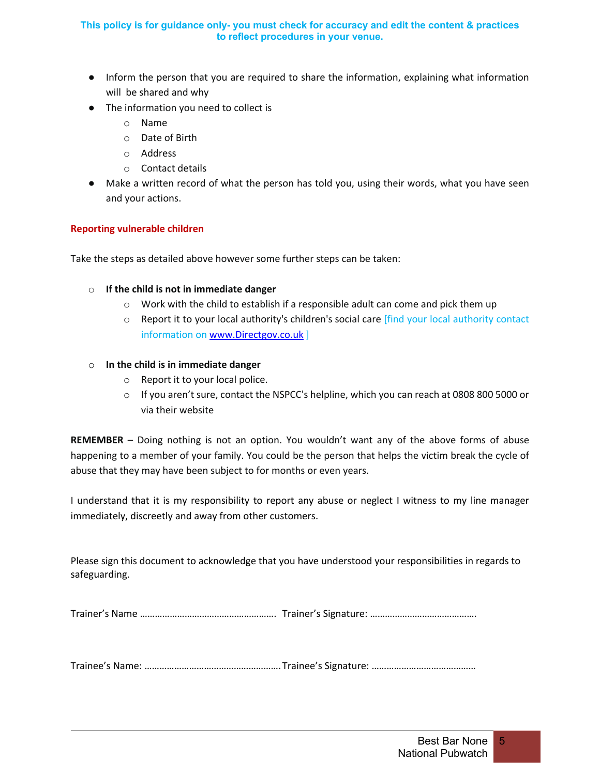- Inform the person that you are required to share the information, explaining what information will be shared and why
- The information you need to collect is
	- o Name
	- o Date of Birth
	- o Address
	- o Contact details
- Make a written record of what the person has told you, using their words, what you have seen and your actions.

### **Reporting vulnerable children**

Take the steps as detailed above however some further steps can be taken:

- o **If the child is not in immediate danger**
	- $\circ$  Work with the child to establish if a responsible adult can come and pick them up
	- $\circ$  Report it to your local authority's children's social care [find your local authority contact information on www.Directgov.co.uk ]

### o **In the child is in immediate danger**

- o Report it to your local police.
- $\circ$  If you aren't sure, contact the NSPCC's helpline, which you can reach at 0808 800 5000 or via their website

**REMEMBER** – Doing nothing is not an option. You wouldn't want any of the above forms of abuse happening to a member of your family. You could be the person that helps the victim break the cycle of abuse that they may have been subject to for months or even years.

I understand that it is my responsibility to report any abuse or neglect I witness to my line manager immediately, discreetly and away from other customers.

Please sign this document to acknowledge that you have understood your responsibilities in regards to safeguarding.

Trainer's Name ………………………………………………. Trainer's Signature: …………………………………….

Trainee's Name: ……………………………………………….Trainee's Signature: ……………………………………